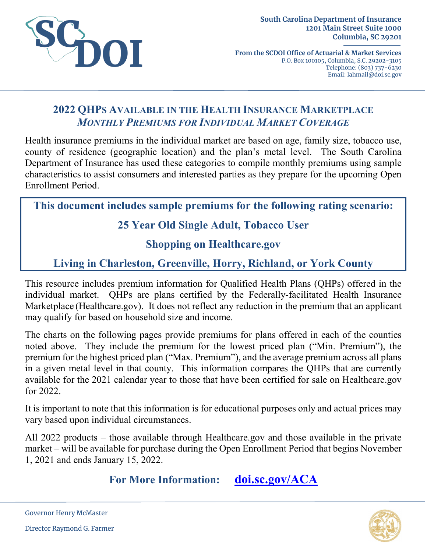

**From the SCDOI Office of Actuarial & Market Services** P.O. Box 100105, Columbia, S.C. 29202-3105 Telephone: (803) 737-6230 Email: lahmail@doi.sc.gov

# **2022 QHPS AVAILABLE IN THE HEALTH INSURANCE MARKETPLACE** *MONTHLY PREMIUMS FOR INDIVIDUAL MARKET COVERAGE*

Health insurance premiums in the individual market are based on age, family size, tobacco use, county of residence (geographic location) and the plan's metal level. The South Carolina Department of Insurance has used these categories to compile monthly premiums using sample characteristics to assist consumers and interested parties as they prepare for the upcoming Open Enrollment Period.

**This document includes sample premiums for the following rating scenario:**

# **25 Year Old Single Adult, Tobacco User**

### **Shopping on Healthcare.gov**

# **Living in Charleston, Greenville, Horry, Richland, or York County**

This resource includes premium information for Qualified Health Plans (QHPs) offered in the individual market. QHPs are plans certified by the Federally-facilitated Health Insurance Marketplace (Healthcare.gov). It does not reflect any reduction in the premium that an applicant may qualify for based on household size and income.

The charts on the following pages provide premiums for plans offered in each of the counties noted above. They include the premium for the lowest priced plan ("Min. Premium"), the premium for the highest priced plan ("Max. Premium"), and the average premium across all plans in a given metal level in that county. This information compares the QHPs that are currently available for the 2021 calendar year to those that have been certified for sale on Healthcare.gov for 2022.

It is important to note that this information is for educational purposes only and actual prices may vary based upon individual circumstances.

All 2022 products – those available through Healthcare.gov and those available in the private market – will be available for purchase during the Open Enrollment Period that begins November 1, 2021 and ends January 15, 2022.

**For More Information: [doi.sc.gov/ACA](http://doi.sc.gov/aca)**



Governor Henry McMaster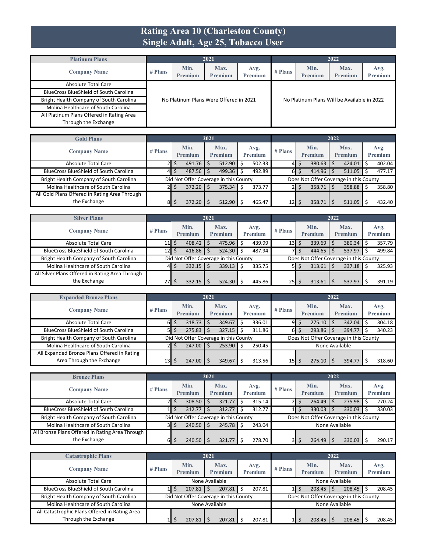#### **Rating Area 10 (Charleston County) Single Adult, Age 25, Tobacco User**

| <b>Platinum Plans</b>                         |           |                                        | 2021                   |                 |         |                                             | 2022                   |                 |
|-----------------------------------------------|-----------|----------------------------------------|------------------------|-----------------|---------|---------------------------------------------|------------------------|-----------------|
| <b>Company Name</b>                           | $#$ Plans | Min.<br>Premium                        | Max.<br><b>Premium</b> | Avg.<br>Premium | # Plans | Min.<br>Premium                             | Max.<br><b>Premium</b> | Avg.<br>Premium |
| Absolute Total Care                           |           |                                        |                        |                 |         |                                             |                        |                 |
| <b>BlueCross BlueShield of South Carolina</b> |           |                                        |                        |                 |         |                                             |                        |                 |
| Bright Health Company of South Carolina       |           | No Platinum Plans Were Offered in 2021 |                        |                 |         | No Platinum Plans Will be Available in 2022 |                        |                 |
| Molina Healthcare of South Carolina           |           |                                        |                        |                 |         |                                             |                        |                 |
| All Platinum Plans Offered in Rating Area     |           |                                        |                        |                 |         |                                             |                        |                 |
| Through the Exchange                          |           |                                        |                        |                 |         |                                             |                        |                 |

| <b>Gold Plans</b>                             |           |                 | 2021 |                                       |                 |                 |    |                                        | 2022 |                        |                 |
|-----------------------------------------------|-----------|-----------------|------|---------------------------------------|-----------------|-----------------|----|----------------------------------------|------|------------------------|-----------------|
| <b>Company Name</b>                           | $#$ Plans | Min.<br>Premium |      | Max.<br><b>Premium</b>                | Avg.<br>Premium | $#$ Plans       |    | Min.<br>Premium                        |      | Max.<br><b>Premium</b> | Avg.<br>Premium |
| Absolute Total Care                           |           | 491.76          |      | 512.90                                | 502.33          | 41              | Ś  | 380.63                                 |      | 424.01                 | 402.04          |
| <b>BlueCross BlueShield of South Carolina</b> | 41        | 487.56          |      | 499.36                                | 492.89          | 6 <sup>1</sup>  | \$ | 414.96                                 |      | $511.05$ \$            | 477.17          |
| Bright Health Company of South Carolina       |           |                 |      | Did Not Offer Coverage in this County |                 |                 |    | Does Not Offer Coverage in this County |      |                        |                 |
| Molina Healthcare of South Carolina           |           | 372.20          |      | 375.34                                | 373.77          |                 | S  | 358.71                                 |      | 358.88 \$              | 358.80          |
| All Gold Plans Offered in Rating Area Through |           |                 |      |                                       |                 |                 |    |                                        |      |                        |                 |
| the Exchange                                  | 81        | 372.20          |      | 512.90                                | 465.47          | 12 <sub>1</sub> | S  | 358.71                                 |      | 511.05                 | 432.40          |

| <b>Silver Plans</b>                             |             |                        | 2021 |                                       |   |                 |           |    |                                        | 2022 |                        |                 |
|-------------------------------------------------|-------------|------------------------|------|---------------------------------------|---|-----------------|-----------|----|----------------------------------------|------|------------------------|-----------------|
| <b>Company Name</b>                             | $#$ Plans   | Min.<br><b>Premium</b> |      | Max.<br>Premium                       |   | Avg.<br>Premium | $#$ Plans |    | Min.<br>Premium                        |      | Max.<br><b>Premium</b> | Avg.<br>Premium |
| Absolute Total Care                             | $11 \mid 5$ | $408.42$ \$            |      | 475.96                                |   | 439.99          | 13        | \$ | $339.69$ \$                            |      | 380.34                 | 357.79          |
| <b>BlueCross BlueShield of South Carolina</b>   | $12$ \$     | 416.86                 |      | 524.30                                |   | 487.94          |           | S  | $444.65$ \$                            |      | 537.97                 | 499.84          |
| Bright Health Company of South Carolina         |             |                        |      | Did Not Offer Coverage in this County |   |                 |           |    | Does Not Offer Coverage in this County |      |                        |                 |
| Molina Healthcare of South Carolina             | 41          | $332.15$ S             |      | 339.13                                | Ŝ | 335.75          | 51        | \$ | $313.61$ $\frac{1}{5}$                 |      | 337.18                 | 325.93          |
| All Silver Plans Offered in Rating Area Through |             |                        |      |                                       |   |                 |           |    |                                        |      |                        |                 |
| the Exchange                                    | 27          | 332.15                 |      | 524.30                                |   | 445.86          | 25        | S  | 313.61                                 |      | 537.97                 | 391.19          |

| <b>Expanded Bronze Plans</b>                  |                 |                                       | 2021 |                 |                 |           |    |                                        | 2022 |                        |                 |
|-----------------------------------------------|-----------------|---------------------------------------|------|-----------------|-----------------|-----------|----|----------------------------------------|------|------------------------|-----------------|
| <b>Company Name</b>                           | $#$ Plans       | Min.<br>Premium                       |      | Max.<br>Premium | Avg.<br>Premium | $#$ Plans |    | Min.<br><b>Premium</b>                 |      | Max.<br><b>Premium</b> | Avg.<br>Premium |
| Absolute Total Care                           | 61              | 318.73                                |      | 349.67          | 336.01          | 91        | Ś  | 275.10                                 |      | 342.04                 | 304.18          |
| <b>BlueCross BlueShield of South Carolina</b> | 51              | 275.83                                |      | 327.15          | 311.86          | 6I        | S. | 293.86                                 |      | 394.77                 | 340.23          |
| Bright Health Company of South Carolina       |                 | Did Not Offer Coverage in this County |      |                 |                 |           |    | Does Not Offer Coverage in this County |      |                        |                 |
| Molina Healthcare of South Carolina           |                 | 247.00                                |      | 253.90          | 250.45          |           |    | None Available                         |      |                        |                 |
| All Expanded Bronze Plans Offered in Rating   |                 |                                       |      |                 |                 |           |    |                                        |      |                        |                 |
| Area Through the Exchange                     | 13 <sup>l</sup> | 247.00                                |      | 349.67          | 313.56          | 15I       |    | 275.10                                 |      | 394.77                 | 318.60          |

| <b>Bronze Plans</b>                             |           |                 | 2021 |                                       |     |                 |           |                                        | 2022 |                        |                 |
|-------------------------------------------------|-----------|-----------------|------|---------------------------------------|-----|-----------------|-----------|----------------------------------------|------|------------------------|-----------------|
| <b>Company Name</b>                             | $#$ Plans | Min.<br>Premium |      | Max.<br><b>Premium</b>                |     | Avg.<br>Premium | $#$ Plans | Min.<br><b>Premium</b>                 |      | Max.<br><b>Premium</b> | Avg.<br>Premium |
| <b>Absolute Total Care</b>                      |           | 308.50          |      | 321.77                                | Ŝ   | 315.14          |           | 264.49                                 |      | 275.98                 | 270.24          |
| <b>BlueCross BlueShield of South Carolina</b>   |           | 312.77          |      | 312.77                                |     | 312.77          |           | 330.03                                 |      | 330.03                 | 330.03          |
| Bright Health Company of South Carolina         |           |                 |      | Did Not Offer Coverage in this County |     |                 |           | Does Not Offer Coverage in this County |      |                        |                 |
| Molina Healthcare of South Carolina             | зI        | $240.50$ \$     |      | 245.78                                | l S | 243.04          |           | None Available                         |      |                        |                 |
| All Bronze Plans Offered in Rating Area Through |           |                 |      |                                       |     |                 |           |                                        |      |                        |                 |
| the Exchange                                    | 61        | 240.50          |      | 321.77                                |     | 278.70          |           | 264.49                                 |      | 330.03                 | 290.17          |

| <b>Catastrophic Plans</b>                     |           |                        | 2021                                  |                 |           |                                        | 2022 |                        |                 |
|-----------------------------------------------|-----------|------------------------|---------------------------------------|-----------------|-----------|----------------------------------------|------|------------------------|-----------------|
| <b>Company Name</b>                           | $#$ Plans | Min.<br><b>Premium</b> | Max.<br><b>Premium</b>                | Avg.<br>Premium | $#$ Plans | Min.<br><b>Premium</b>                 |      | Max.<br><b>Premium</b> | Avg.<br>Premium |
| Absolute Total Care                           |           |                        | None Available                        |                 |           | None Available                         |      |                        |                 |
| <b>BlueCross BlueShield of South Carolina</b> |           | 207.81                 | 207.81                                | 207.81          |           | 208.45                                 |      | $208.45$ \$            | 208.45          |
| Bright Health Company of South Carolina       |           |                        | Did Not Offer Coverage in this County |                 |           | Does Not Offer Coverage in this County |      |                        |                 |
| Molina Healthcare of South Carolina           |           |                        | None Available                        |                 |           | None Available                         |      |                        |                 |
| All Catastrophic Plans Offered in Rating Area |           |                        |                                       |                 |           |                                        |      |                        |                 |
| Through the Exchange                          |           | 207.81                 | 207.81                                | 207.81          |           | 208.45                                 |      | 208.45                 | 208.45          |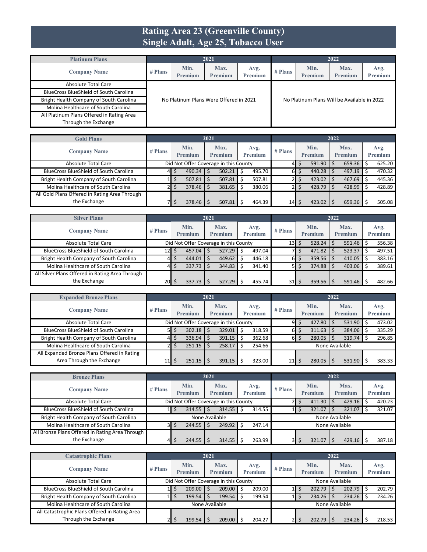#### **Rating Area 23 (Greenville County) Single Adult, Age 25, Tobacco User**

| <b>Platinum Plans</b>                         |           |                 | 2021                                   |                        |           |                                             | 2022                   |                        |
|-----------------------------------------------|-----------|-----------------|----------------------------------------|------------------------|-----------|---------------------------------------------|------------------------|------------------------|
| <b>Company Name</b>                           | $#$ Plans | Min.<br>Premium | Max.<br><b>Premium</b>                 | Avg.<br><b>Premium</b> | $#$ Plans | Min.<br>Premium                             | Max.<br><b>Premium</b> | Avg.<br><b>Premium</b> |
| Absolute Total Care                           |           |                 |                                        |                        |           |                                             |                        |                        |
| <b>BlueCross BlueShield of South Carolina</b> |           |                 |                                        |                        |           |                                             |                        |                        |
| Bright Health Company of South Carolina       |           |                 | No Platinum Plans Were Offered in 2021 |                        |           | No Platinum Plans Will be Available in 2022 |                        |                        |
| Molina Healthcare of South Carolina           |           |                 |                                        |                        |           |                                             |                        |                        |
| All Platinum Plans Offered in Rating Area     |           |                 |                                        |                        |           |                                             |                        |                        |
| Through the Exchange                          |           |                 |                                        |                        |           |                                             |                        |                        |

| <b>Gold Plans</b>                             |           |                                       | 2021 |         |    |                |                 |    |         | 2022 |                |         |
|-----------------------------------------------|-----------|---------------------------------------|------|---------|----|----------------|-----------------|----|---------|------|----------------|---------|
|                                               | $#$ Plans | Min.                                  |      | Max.    |    | Avg.           | $#$ Plans       |    | Min.    |      | Max.           | Avg.    |
| <b>Company Name</b>                           |           | Premium                               |      | Premium |    | <b>Premium</b> |                 |    | Premium |      | <b>Premium</b> | Premium |
| Absolute Total Care                           |           | Did Not Offer Coverage in this County |      |         |    |                | 41              | S  | 591.90  |      | 659.36         | 625.20  |
| <b>BlueCross BlueShield of South Carolina</b> | 41        | 490.34                                |      | 502.21  | Ś. | 495.70         | $6\blacksquare$ | \$ | 440.28  |      | $497.19$ \$    | 470.32  |
| Bright Health Company of South Carolina       |           | 507.81                                |      | 507.81  |    | 507.81         |                 | S  | 423.02  |      | $467.69$ \$    | 445.36  |
| Molina Healthcare of South Carolina           |           | 378.46                                |      | 381.65  |    | 380.06         |                 | S  | 428.79  |      | 428.99         | 428.89  |
| All Gold Plans Offered in Rating Area Through |           |                                       |      |         |    |                |                 |    |         |      |                |         |
| the Exchange                                  |           | 378.46                                |      | 507.81  |    | 464.39         | 14              |    | 423.02  |      | $659.36$ \$    | 505.08  |

| <b>Silver Plans</b>                             |           |                                       | 2021 |                        |   |                 |                 |    |                    | 2022 |                        |                 |
|-------------------------------------------------|-----------|---------------------------------------|------|------------------------|---|-----------------|-----------------|----|--------------------|------|------------------------|-----------------|
| <b>Company Name</b>                             | $#$ Plans | Min.<br>Premium                       |      | Max.<br><b>Premium</b> |   | Avg.<br>Premium | $#$ Plans       |    | Min.<br>Premium    |      | Max.<br><b>Premium</b> | Avg.<br>Premium |
| Absolute Total Care                             |           | Did Not Offer Coverage in this County |      |                        |   |                 | 13 <sub>l</sub> | Ś  | $528.24$ \$        |      | 591.46                 | 556.38          |
| <b>BlueCross BlueShield of South Carolina</b>   | 12 IS     | 457.04                                |      | 527.29                 | Ŝ | 497.04          |                 | ১  | $471.82$ \$        |      | $523.37$ \$            | 497.51          |
| Bright Health Company of South Carolina         | 41        | 444.01                                |      | 449.62                 |   | 446.18          | 61              | \$ | $359.56$ \$        |      | $410.05$ \$            | 383.16          |
| Molina Healthcare of South Carolina             | 41        | $337.73$ \$                           |      | 344.83                 |   | 341.40          | <b>51</b>       | \$ | $374.88$ \$        |      | 403.06                 | 389.61          |
| All Silver Plans Offered in Rating Area Through |           |                                       |      |                        |   |                 |                 |    |                    |      |                        |                 |
| the Exchange                                    | \$  20    | 337.73                                |      | 527.29                 | Ś | 455.74          | 31              | \$ | $359.56$ $\mid$ \$ |      | 591.46                 | 482.66          |

| <b>Expanded Bronze Plans</b>                  |           |                                       | 2021 |                        |   |                 |                 |    |                        | 2022 |                        |                 |
|-----------------------------------------------|-----------|---------------------------------------|------|------------------------|---|-----------------|-----------------|----|------------------------|------|------------------------|-----------------|
| <b>Company Name</b>                           | $#$ Plans | Min.<br><b>Premium</b>                |      | Max.<br><b>Premium</b> |   | Avg.<br>Premium | $#$ Plans       |    | Min.<br><b>Premium</b> |      | Max.<br><b>Premium</b> | Avg.<br>Premium |
| Absolute Total Care                           |           | Did Not Offer Coverage in this County |      |                        |   |                 | 9I              | Ś. | 427.80                 |      | 531.90                 | 473.02          |
| <b>BlueCross BlueShield of South Carolina</b> | 51        | $302.18$ \$                           |      | 329.01                 |   | 318.59          | $6\blacksquare$ | Ŝ. | 311.63                 |      | 384.06                 | 335.29          |
| Bright Health Company of South Carolina       | 41        | $336.94$ \$                           |      | 391.15                 | Ś | 362.68          | $6\blacksquare$ | \$ | 280.05                 |      | 319.74                 | 296.85          |
| Molina Healthcare of South Carolina           | 21        | $251.15$ $\frac{1}{5}$                |      | 258.17                 | Ŝ | 254.66          |                 |    | None Available         |      |                        |                 |
| All Expanded Bronze Plans Offered in Rating   |           |                                       |      |                        |   |                 |                 |    |                        |      |                        |                 |
| Area Through the Exchange                     | 11        | $251.15$ $\frac{1}{5}$                |      | 391.15                 |   | 323.00          | 21              |    | 280.05                 |      | 531.90                 | 383.33          |

| <b>Bronze Plans</b>                             |                |                        | 2021 |                                       |   |                 |           |    |                 | 2022 |                        |                        |
|-------------------------------------------------|----------------|------------------------|------|---------------------------------------|---|-----------------|-----------|----|-----------------|------|------------------------|------------------------|
| <b>Company Name</b>                             | $#$ Plans      | Min.<br><b>Premium</b> |      | Max.<br>Premium                       |   | Avg.<br>Premium | $#$ Plans |    | Min.<br>Premium |      | Max.<br><b>Premium</b> | Avg.<br><b>Premium</b> |
| <b>Absolute Total Care</b>                      |                |                        |      | Did Not Offer Coverage in this County |   |                 |           | Ś. | 411.30          |      | 429.16                 | 420.23                 |
| <b>BlueCross BlueShield of South Carolina</b>   |                | $314.55$ $\frac{1}{5}$ |      | 314.55                                | Ś | 314.55          |           |    | 321.07          |      | 321.07                 | 321.07                 |
| Bright Health Company of South Carolina         |                |                        |      | None Available                        |   |                 |           |    | None Available  |      |                        |                        |
| Molina Healthcare of South Carolina             | 3 <sup>1</sup> | $244.55$ \$            |      | 249.92                                | Ś | 247.14          |           |    | None Available  |      |                        |                        |
| All Bronze Plans Offered in Rating Area Through |                |                        |      |                                       |   |                 |           |    |                 |      |                        |                        |
| the Exchange                                    | 41             | $244.55$ $\frac{1}{5}$ |      | 314.55                                |   | 263.99          | 31        |    | 321.07          |      | 429.16                 | 387.18                 |

| <b>Catastrophic Plans</b>                     |           |                                       | 2021 |                        |                 |           |   |                 | 2022 |                        |                 |
|-----------------------------------------------|-----------|---------------------------------------|------|------------------------|-----------------|-----------|---|-----------------|------|------------------------|-----------------|
| <b>Company Name</b>                           | $#$ Plans | Min.<br><b>Premium</b>                |      | Max.<br><b>Premium</b> | Avg.<br>Premium | $#$ Plans |   | Min.<br>Premium |      | Max.<br><b>Premium</b> | Avg.<br>Premium |
| <b>Absolute Total Care</b>                    |           | Did Not Offer Coverage in this County |      |                        |                 |           |   | None Available  |      |                        |                 |
| <b>BlueCross BlueShield of South Carolina</b> | пL        | $209.00$ \$                           |      | 209.00                 | 209.00          |           | د | 202.79          |      | $202.79$ \$            | 202.79          |
| Bright Health Company of South Carolina       |           | $199.54$ \$                           |      | 199.54                 | 199.54          |           |   | 234.26          |      | 234.26                 | 234.26          |
| Molina Healthcare of South Carolina           |           | None Available                        |      |                        |                 |           |   | None Available  |      |                        |                 |
| All Catastrophic Plans Offered in Rating Area |           |                                       |      |                        |                 |           |   |                 |      |                        |                 |
| Through the Exchange                          |           | 199.54                                |      | 209.00                 | 204.27          |           |   | 202.79          |      | 234.26                 | 218.53          |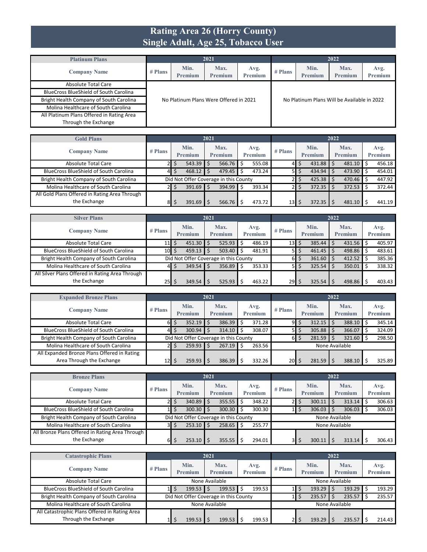#### **Rating Area 26 (Horry County) Single Adult, Age 25, Tobacco User**

| <b>Platinum Plans</b>                         |           |                                        | 2021                   |                        |           |                                             | 2022                   |                        |  |  |
|-----------------------------------------------|-----------|----------------------------------------|------------------------|------------------------|-----------|---------------------------------------------|------------------------|------------------------|--|--|
| <b>Company Name</b>                           | $#$ Plans | Min.<br>Premium                        | Max.<br><b>Premium</b> | Avg.<br><b>Premium</b> | $#$ Plans | Min.<br>Premium                             | Max.<br><b>Premium</b> | Avg.<br><b>Premium</b> |  |  |
| Absolute Total Care                           |           |                                        |                        |                        |           |                                             |                        |                        |  |  |
| <b>BlueCross BlueShield of South Carolina</b> |           |                                        |                        |                        |           |                                             |                        |                        |  |  |
| Bright Health Company of South Carolina       |           | No Platinum Plans Were Offered in 2021 |                        |                        |           | No Platinum Plans Will be Available in 2022 |                        |                        |  |  |
| Molina Healthcare of South Carolina           |           |                                        |                        |                        |           |                                             |                        |                        |  |  |
| All Platinum Plans Offered in Rating Area     |           |                                        |                        |                        |           |                                             |                        |                        |  |  |
| Through the Exchange                          |           |                                        |                        |                        |           |                                             |                        |                        |  |  |

| <b>Gold Plans</b>                             |           |                 | 2021 |                                       |                 |           |    |                 | 2022 |                        |                 |
|-----------------------------------------------|-----------|-----------------|------|---------------------------------------|-----------------|-----------|----|-----------------|------|------------------------|-----------------|
| <b>Company Name</b>                           | $#$ Plans | Min.<br>Premium |      | Max.<br>Premium                       | Avg.<br>Premium | $#$ Plans |    | Min.<br>Premium |      | Max.<br><b>Premium</b> | Avg.<br>Premium |
| <b>Absolute Total Care</b>                    |           | 543.39          |      | 566.76                                | 555.08          | 41        | S  | 431.88          |      | 481.10                 | 456.18          |
| <b>BlueCross BlueShield of South Carolina</b> | 41        | 468.12          |      | 479.45                                | 473.24          | 51        | \$ | 434.94          |      | 473.90 \$              | 454.01          |
| Bright Health Company of South Carolina       |           |                 |      | Did Not Offer Coverage in this County |                 |           |    | 425.38          |      | $470.46$ \$            | 447.92          |
| Molina Healthcare of South Carolina           |           | 391.69          |      | 394.99                                | 393.34          |           | د  | 372.35          |      | 372.53                 | 372.44          |
| All Gold Plans Offered in Rating Area Through |           |                 |      |                                       |                 |           |    |                 |      |                        |                 |
| the Exchange                                  | 81        | 391.69          |      | 566.76                                | 473.72          | 13        |    | 372.35          |      | 481.10                 | 441.19          |

| <b>Silver Plans</b>                             |                 |                        | 2021 |                                       |   |                 |           |    |                    | 2022 |                        |                 |
|-------------------------------------------------|-----------------|------------------------|------|---------------------------------------|---|-----------------|-----------|----|--------------------|------|------------------------|-----------------|
| <b>Company Name</b>                             | $#$ Plans       | Min.<br><b>Premium</b> |      | Max.<br>Premium                       |   | Avg.<br>Premium | $#$ Plans |    | Min.<br>Premium    |      | Max.<br><b>Premium</b> | Avg.<br>Premium |
| Absolute Total Care                             | $11 \mid 5$     | $451.30$ \$            |      | 525.93                                | Ś | 486.19          | 13        | \$ | $385.44$ \$        |      | 431.56                 | 405.97          |
| <b>BlueCross BlueShield of South Carolina</b>   | $10\frac{1}{5}$ | 459.13                 |      | 503.40                                |   | 481.91          | 51        | \$ | $461.45$ \$        |      | 498.86 \$              | 483.61          |
| Bright Health Company of South Carolina         |                 |                        |      | Did Not Offer Coverage in this County |   |                 | 61        | \$ | $361.60$ \$        |      | 412.52                 | 385.36          |
| Molina Healthcare of South Carolina             | 41              | $349.54$ \$            |      | 356.89                                | Ŝ | 353.33          | 51        | \$ | $325.54$ \$        |      | 350.01                 | 338.32          |
| All Silver Plans Offered in Rating Area Through |                 |                        |      |                                       |   |                 |           |    |                    |      |                        |                 |
| the Exchange                                    | 25 IS           | 349.54                 |      | 525.93                                |   | 463.22          | 29        | S  | $325.54$ $\mid$ \$ |      | 498.86                 | 403.43          |

| <b>Expanded Bronze Plans</b>                  |                 |                        | 2021 |                                       |   |                 |                 |    |                        | 2022 |                        |                 |
|-----------------------------------------------|-----------------|------------------------|------|---------------------------------------|---|-----------------|-----------------|----|------------------------|------|------------------------|-----------------|
| <b>Company Name</b>                           | $#$ Plans       | Min.<br><b>Premium</b> |      | Max.<br><b>Premium</b>                |   | Avg.<br>Premium | $#$ Plans       |    | Min.<br><b>Premium</b> |      | Max.<br><b>Premium</b> | Avg.<br>Premium |
| Absolute Total Care                           | 61              | $352.19$ \$            |      | 386.39                                |   | 371.28          | 91              | Ŝ. | 312.15                 |      | 388.10                 | 345.14          |
| <b>BlueCross BlueShield of South Carolina</b> | 41              | $300.94$ \$            |      | 314.10                                |   | 308.07          | 51              | Ŝ. | 305.88                 |      | 366.07                 | 324.09          |
| Bright Health Company of South Carolina       |                 |                        |      | Did Not Offer Coverage in this County |   |                 | $6\blacksquare$ | \$ | 281.59                 |      | 321.60                 | 298.50          |
| Molina Healthcare of South Carolina           | 21              | $259.93$ \$            |      | 267.19                                | Ŝ | 263.56          |                 |    | None Available         |      |                        |                 |
| All Expanded Bronze Plans Offered in Rating   |                 |                        |      |                                       |   |                 |                 |    |                        |      |                        |                 |
| Area Through the Exchange                     | 12 <sub>l</sub> | $259.93$ \$            |      | 386.39                                |   | 332.26          | <b>20</b>       |    | 281.59                 |      | 388.10                 | 325.89          |

| <b>Bronze Plans</b>                             |           |                        | 2021 |                                       |   |                 |           |     |                 | 2022 |                        |                        |
|-------------------------------------------------|-----------|------------------------|------|---------------------------------------|---|-----------------|-----------|-----|-----------------|------|------------------------|------------------------|
| <b>Company Name</b>                             | $#$ Plans | Min.<br><b>Premium</b> |      | Max.<br>Premium                       |   | Avg.<br>Premium | $#$ Plans |     | Min.<br>Premium |      | Max.<br><b>Premium</b> | Avg.<br><b>Premium</b> |
| <b>Absolute Total Care</b>                      | 21        | $340.89$ \$            |      | 355.55                                | Ś | 348.22          |           | Ś.  | 300.11          |      | 313.14                 | 306.63                 |
| <b>BlueCross BlueShield of South Carolina</b>   |           | $300.30$ \$            |      | 300.30                                | Ś | 300.30          |           | \$. | 306.03          |      | 306.03                 | 306.03                 |
| Bright Health Company of South Carolina         |           |                        |      | Did Not Offer Coverage in this County |   |                 |           |     | None Available  |      |                        |                        |
| Molina Healthcare of South Carolina             | 3I        | $253.10$ \$            |      | 258.65                                | S | 255.77          |           |     | None Available  |      |                        |                        |
| All Bronze Plans Offered in Rating Area Through |           |                        |      |                                       |   |                 |           |     |                 |      |                        |                        |
| the Exchange                                    | 61        | $253.10$ \$            |      | 355.55                                |   | 294.01          | 31        |     | 300.11          |      | 313.14                 | 306.43                 |

| <b>Catastrophic Plans</b>                     |           |                        | 2021                                  |                        |           |                 | 2022 |                        |                 |
|-----------------------------------------------|-----------|------------------------|---------------------------------------|------------------------|-----------|-----------------|------|------------------------|-----------------|
| <b>Company Name</b>                           | $#$ Plans | Min.<br><b>Premium</b> | Max.<br><b>Premium</b>                | Avg.<br><b>Premium</b> | $#$ Plans | Min.<br>Premium |      | Max.<br><b>Premium</b> | Avg.<br>Premium |
| Absolute Total Care                           |           |                        | None Available                        |                        |           |                 |      | None Available         |                 |
| <b>BlueCross BlueShield of South Carolina</b> |           | 199.53                 | 199.53                                | 199.53                 |           | 193.29          |      | 193.29                 | 193.29          |
| Bright Health Company of South Carolina       |           |                        | Did Not Offer Coverage in this County |                        |           | 235.57          |      | 235.57                 | 235.57          |
| Molina Healthcare of South Carolina           |           |                        | None Available                        |                        |           |                 |      | None Available         |                 |
| All Catastrophic Plans Offered in Rating Area |           |                        |                                       |                        |           |                 |      |                        |                 |
| Through the Exchange                          |           | 199.53                 | 199.53                                | 199.53                 |           | 193.29          |      | 235.57                 | 214.43          |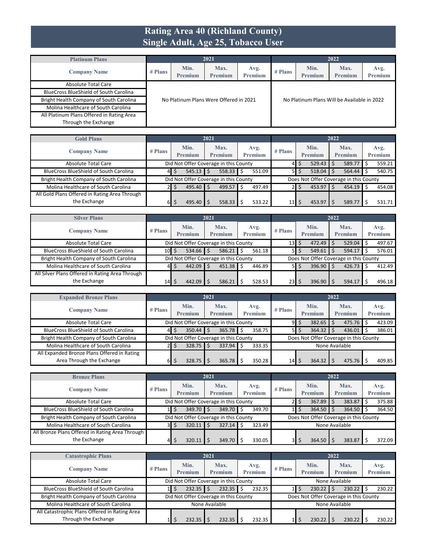#### **Rating Area 40 (Richland County) Single Adult, Age 25, Tobacco User**

| <b>Platinum Plans</b>                         |           |                                        | 2021                   |                        |           |                                             | 2022                   |                        |  |  |
|-----------------------------------------------|-----------|----------------------------------------|------------------------|------------------------|-----------|---------------------------------------------|------------------------|------------------------|--|--|
| <b>Company Name</b>                           | $#$ Plans | Min.<br>Premium                        | Max.<br><b>Premium</b> | Avg.<br><b>Premium</b> | $#$ Plans | Min.<br>Premium                             | Max.<br><b>Premium</b> | Avg.<br><b>Premium</b> |  |  |
| Absolute Total Care                           |           |                                        |                        |                        |           |                                             |                        |                        |  |  |
| <b>BlueCross BlueShield of South Carolina</b> |           |                                        |                        |                        |           |                                             |                        |                        |  |  |
| Bright Health Company of South Carolina       |           | No Platinum Plans Were Offered in 2021 |                        |                        |           | No Platinum Plans Will be Available in 2022 |                        |                        |  |  |
| Molina Healthcare of South Carolina           |           |                                        |                        |                        |           |                                             |                        |                        |  |  |
| All Platinum Plans Offered in Rating Area     |           |                                        |                        |                        |           |                                             |                        |                        |  |  |
| Through the Exchange                          |           |                                        |                        |                        |           |                                             |                        |                        |  |  |

| <b>Gold Plans</b>                             |           |                 | 2021 |                                       |   |                        |           |    |                                        | 2022 |                        |                 |
|-----------------------------------------------|-----------|-----------------|------|---------------------------------------|---|------------------------|-----------|----|----------------------------------------|------|------------------------|-----------------|
| <b>Company Name</b>                           | $#$ Plans | Min.<br>Premium |      | Max.<br><b>Premium</b>                |   | Avg.<br><b>Premium</b> | $#$ Plans |    | Min.<br>Premium                        |      | Max.<br><b>Premium</b> | Avg.<br>Premium |
| Absolute Total Care                           |           |                 |      | Did Not Offer Coverage in this County |   |                        |           | S  | 529.43                                 |      | 589.77                 | 559.21          |
| <b>BlueCross BlueShield of South Carolina</b> | 41        | 545.13          |      | 558.33                                |   | 551.09                 | 51        | \$ | 518.04                                 |      | 564.44                 | 540.75          |
| Bright Health Company of South Carolina       |           |                 |      | Did Not Offer Coverage in this County |   |                        |           |    | Does Not Offer Coverage in this County |      |                        |                 |
| Molina Healthcare of South Carolina           |           | $495.40$ \$     |      | 499.57                                | Ŝ | 497.49                 | 2F        | S  | 453.97                                 |      | $454.19$ \$            | 454.08          |
| All Gold Plans Offered in Rating Area Through |           |                 |      |                                       |   |                        |           |    |                                        |      |                        |                 |
| the Exchange                                  | 61        | 495.40          |      | 558.33                                |   | 533.22                 | 11        |    | 453.97                                 |      | 589.77                 | 531.71          |

| <b>Silver Plans</b>                             |           |                 | 2021 |                                       |    |                 |           |    |                                        | 2022 |                 |                        |
|-------------------------------------------------|-----------|-----------------|------|---------------------------------------|----|-----------------|-----------|----|----------------------------------------|------|-----------------|------------------------|
| <b>Company Name</b>                             | $#$ Plans | Min.<br>Premium |      | Max.<br><b>Premium</b>                |    | Avg.<br>Premium | $#$ Plans |    | Min.<br>Premium                        |      | Max.<br>Premium | Avg.<br><b>Premium</b> |
| Absolute Total Care                             |           |                 |      | Did Not Offer Coverage in this County |    |                 | 13        | Ś  | $472.49$ \$                            |      | 529.04          | 497.67                 |
| <b>BlueCross BlueShield of South Carolina</b>   | 10I S     | $534.66$ \$     |      | 586.21                                | S  | 561.18          | 51        | \$ | 549.61                                 |      | 594.17          | 576.01                 |
| Bright Health Company of South Carolina         |           |                 |      | Did Not Offer Coverage in this County |    |                 |           |    | Does Not Offer Coverage in this County |      |                 |                        |
| Molina Healthcare of South Carolina             | 41        | 442.09          | -Ŝ   | 451.38                                | Ŝ. | 446.89          | <b>51</b> | \$ | $396.90$ \$                            |      | 426.73          | 412.49                 |
| All Silver Plans Offered in Rating Area Through |           |                 |      |                                       |    |                 |           |    |                                        |      |                 |                        |
| the Exchange                                    | 14        | 442.09          |      | 586.21                                |    | 528.53          | 23        | Ś  | $396.90$   \$                          |      | 594.17          | 496.18                 |

| <b>Expanded Bronze Plans</b>                  |           |                        | 2021                                  |                        |           |                        | 2022                                   |                 |
|-----------------------------------------------|-----------|------------------------|---------------------------------------|------------------------|-----------|------------------------|----------------------------------------|-----------------|
| <b>Company Name</b>                           | $#$ Plans | Min.<br><b>Premium</b> | Max.<br>Premium                       | Avg.<br><b>Premium</b> | $#$ Plans | Min.<br><b>Premium</b> | Max.<br><b>Premium</b>                 | Avg.<br>Premium |
| Absolute Total Care                           |           |                        | Did Not Offer Coverage in this County |                        | 91        | 382.65<br>Ŝ.           | 475.76                                 | 423.09          |
| <b>BlueCross BlueShield of South Carolina</b> | 41        | $350.44$ $\frac{1}{5}$ | 365.78                                | 358.75<br>Ś            | 51        | 364.32<br>Ŝ.           | 436.01                                 | 386.01          |
| Bright Health Company of South Carolina       |           |                        | Did Not Offer Coverage in this County |                        |           |                        | Does Not Offer Coverage in this County |                 |
| Molina Healthcare of South Carolina           | 21        | $328.75$ $\frac{1}{5}$ | 337.94                                | 333.35<br>Ś            |           |                        | None Available                         |                 |
| All Expanded Bronze Plans Offered in Rating   |           |                        |                                       |                        |           |                        |                                        |                 |
| Area Through the Exchange                     | 61        | $328.75$ $\frac{1}{5}$ | 365.78                                | 350.28                 | 14        | 364.32                 | 475.76                                 | 409.85          |

| <b>Bronze Plans</b>                             |           |                 | 2021                                  |                        |           |                        | 2022                                   |                 |
|-------------------------------------------------|-----------|-----------------|---------------------------------------|------------------------|-----------|------------------------|----------------------------------------|-----------------|
| <b>Company Name</b>                             | $#$ Plans | Min.<br>Premium | Max.<br><b>Premium</b>                | Avg.<br><b>Premium</b> | $#$ Plans | Min.<br><b>Premium</b> | Max.<br><b>Premium</b>                 | Avg.<br>Premium |
| <b>Absolute Total Care</b>                      |           |                 | Did Not Offer Coverage in this County |                        |           | 367.89                 | 383.87                                 | 375.88          |
| <b>BlueCross BlueShield of South Carolina</b>   |           | $349.70$ \$     | 349.70                                | 349.70<br>.s           |           | 364.50                 | 364.50                                 | 364.50          |
| Bright Health Company of South Carolina         |           |                 | Did Not Offer Coverage in this County |                        |           |                        | Does Not Offer Coverage in this County |                 |
| Molina Healthcare of South Carolina             | зΙ        | 320.11          | 327.14<br>-Ś                          | 323.49<br>S            |           |                        | None Available                         |                 |
| All Bronze Plans Offered in Rating Area Through |           |                 |                                       |                        |           |                        |                                        |                 |
| the Exchange                                    | 41        | 320.11          | 349.70                                | 330.05                 |           | 364.50                 | 383.87                                 | 372.09          |

| <b>Catastrophic Plans</b>                                             |           |                                       | 2021                   |                        |           | 2022                                   |                        |                 |
|-----------------------------------------------------------------------|-----------|---------------------------------------|------------------------|------------------------|-----------|----------------------------------------|------------------------|-----------------|
| <b>Company Name</b>                                                   | $#$ Plans | Min.<br><b>Premium</b>                | Max.<br><b>Premium</b> | Avg.<br><b>Premium</b> | $#$ Plans | Min.<br><b>Premium</b>                 | Max.<br><b>Premium</b> | Avg.<br>Premium |
| Absolute Total Care                                                   |           | Did Not Offer Coverage in this County |                        |                        |           |                                        | None Available         |                 |
| <b>BlueCross BlueShield of South Carolina</b>                         |           | $232.35$ $\frac{1}{5}$                | 232.35                 | 232.35                 |           | 230.22                                 | 230.22                 | 230.22          |
| Bright Health Company of South Carolina                               |           | Did Not Offer Coverage in this County |                        |                        |           | Does Not Offer Coverage in this County |                        |                 |
| Molina Healthcare of South Carolina                                   |           |                                       | None Available         |                        |           |                                        | None Available         |                 |
| All Catastrophic Plans Offered in Rating Area<br>Through the Exchange |           | 232.35                                | 232.35                 | 232.35                 |           | 230.22                                 | 230.22                 | 230.22          |